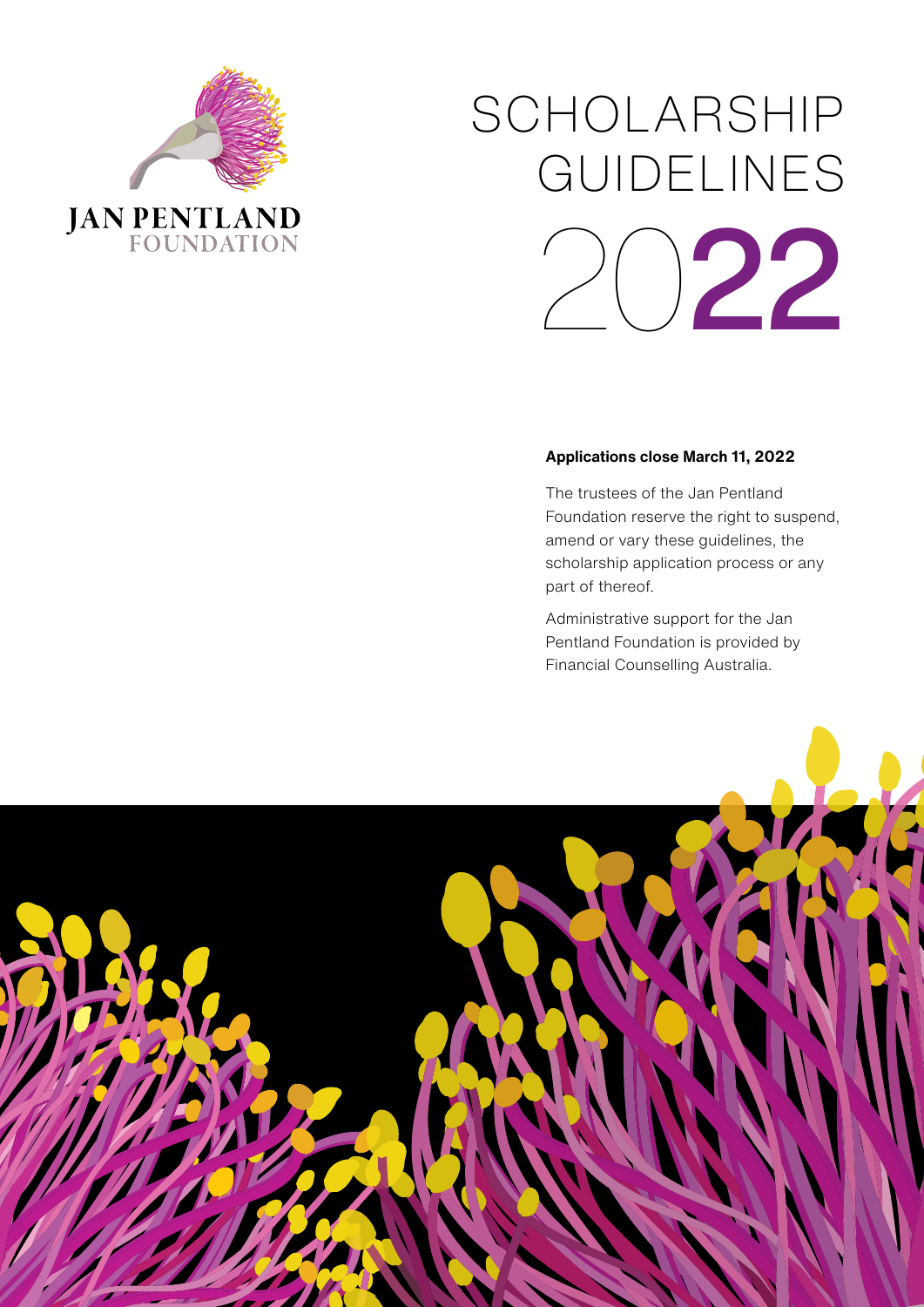

# SCHOLARSHIP GUIDELINES 022

#### **Applications close March 11, 2022**

The trustees of the Jan Pentland Foundation reserve the right to suspend, amend or vary these guidelines, the scholarship application process or any part of thereof.

Administrative support for the Jan Pentland Foundation is provided by Financial Counselling Australia.

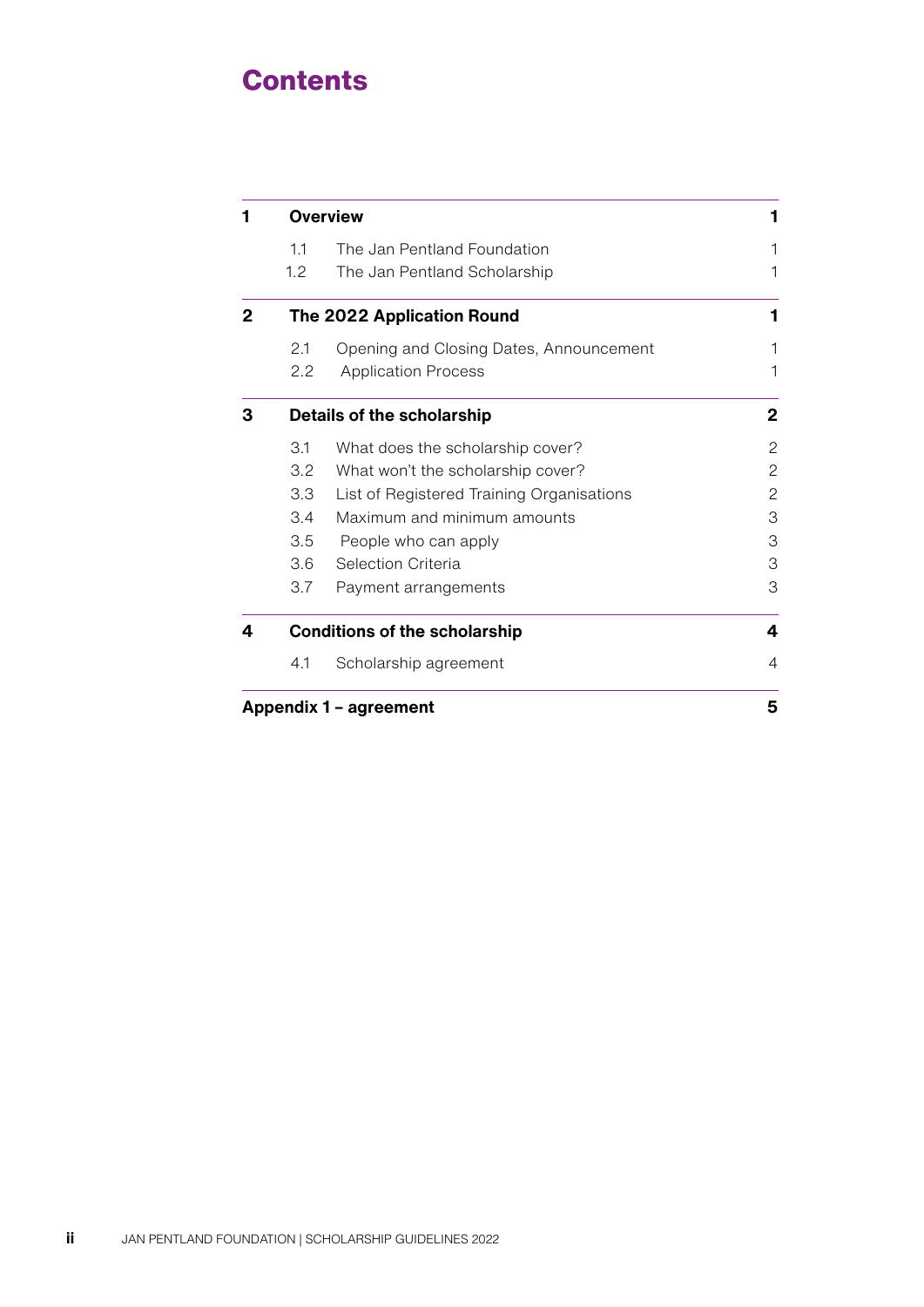## **Contents**

| 1                      | <b>Overview</b>                      |                                           | 1              |
|------------------------|--------------------------------------|-------------------------------------------|----------------|
|                        | 1.1                                  | The Jan Pentland Foundation               | 1              |
|                        | 1.2                                  | The Jan Pentland Scholarship              | 1              |
| 2                      | The 2022 Application Round           |                                           | 1              |
|                        | 2.1                                  | Opening and Closing Dates, Announcement   | 1              |
|                        | $2.2\phantom{0}$                     | <b>Application Process</b>                | 1              |
| З                      | <b>Details of the scholarship</b>    |                                           | $\mathbf{2}$   |
|                        | 3.1                                  | What does the scholarship cover?          | 2              |
|                        | 3.2                                  | What won't the scholarship cover?         | $\overline{c}$ |
|                        | 3.3                                  | List of Registered Training Organisations | $\mathbf{2}$   |
|                        | 3.4                                  | Maximum and minimum amounts               | 3              |
|                        | 3.5                                  | People who can apply                      | 3              |
|                        | 3.6                                  | Selection Criteria                        | 3              |
|                        | 3.7                                  | Payment arrangements                      | 3              |
| 4                      | <b>Conditions of the scholarship</b> |                                           | 4              |
|                        | 4.1                                  | Scholarship agreement                     | $\overline{4}$ |
| Appendix 1 - agreement |                                      |                                           | 5              |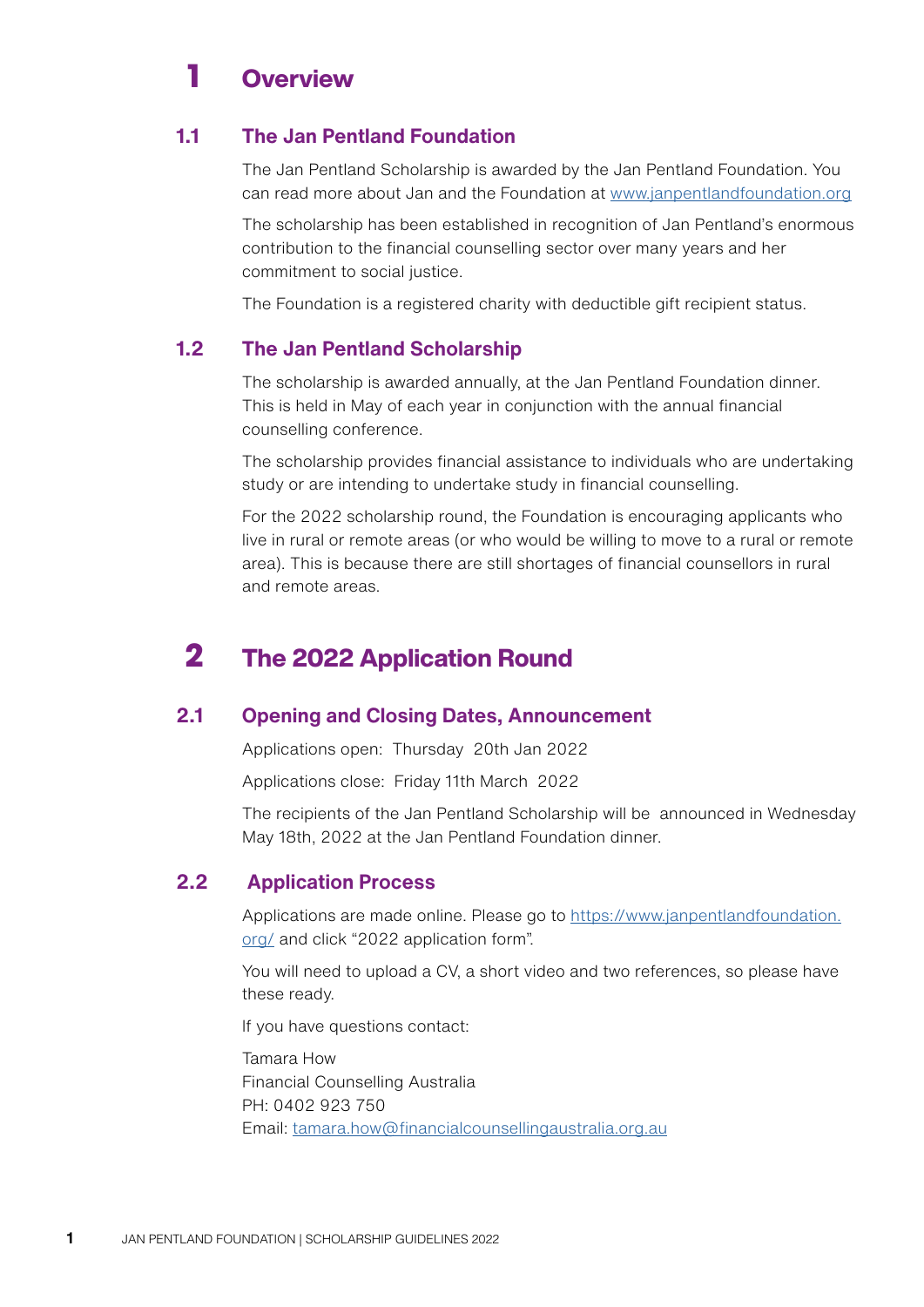# <span id="page-2-0"></span>**1** Overview

#### **1.1 The Jan Pentland Foundation**

The Jan Pentland Scholarship is awarded by the Jan Pentland Foundation. You can read more about Jan and the Foundation at [www.janpentlandfoundation.org](http://www.janpentlandfoundation.org)

The scholarship has been established in recognition of Jan Pentland's enormous contribution to the financial counselling sector over many years and her commitment to social justice.

The Foundation is a registered charity with deductible gift recipient status.

#### **1.2 The Jan Pentland Scholarship**

The scholarship is awarded annually, at the Jan Pentland Foundation dinner. This is held in May of each year in conjunction with the annual financial counselling conference.

The scholarship provides financial assistance to individuals who are undertaking study or are intending to undertake study in financial counselling.

For the 2022 scholarship round, the Foundation is encouraging applicants who live in rural or remote areas (or who would be willing to move to a rural or remote area). This is because there are still shortages of financial counsellors in rural and remote areas.

## **2** The 2022 Application Round

#### **2.1 Opening and Closing Dates, Announcement**

Applications open: Thursday 20th Jan 2022

Applications close: Friday 11th March 2022

The recipients of the Jan Pentland Scholarship will be announced in Wednesday May 18th, 2022 at the Jan Pentland Foundation dinner.

#### **2.2 Application Process**

Applications are made online. Please go to [https://www.janpentlandfoundation.](https://www.janpentlandfoundation.org/) [org/](https://www.janpentlandfoundation.org/) and click "2022 application form".

You will need to upload a CV, a short video and two references, so please have these ready.

If you have questions contact:

Tamara How Financial Counselling Australia PH: 0402 923 750 Email: [tamara.how@financialcounsellingaustralia.org.au](mailto:tamara.how@financialcounsellingaustralia.org.au)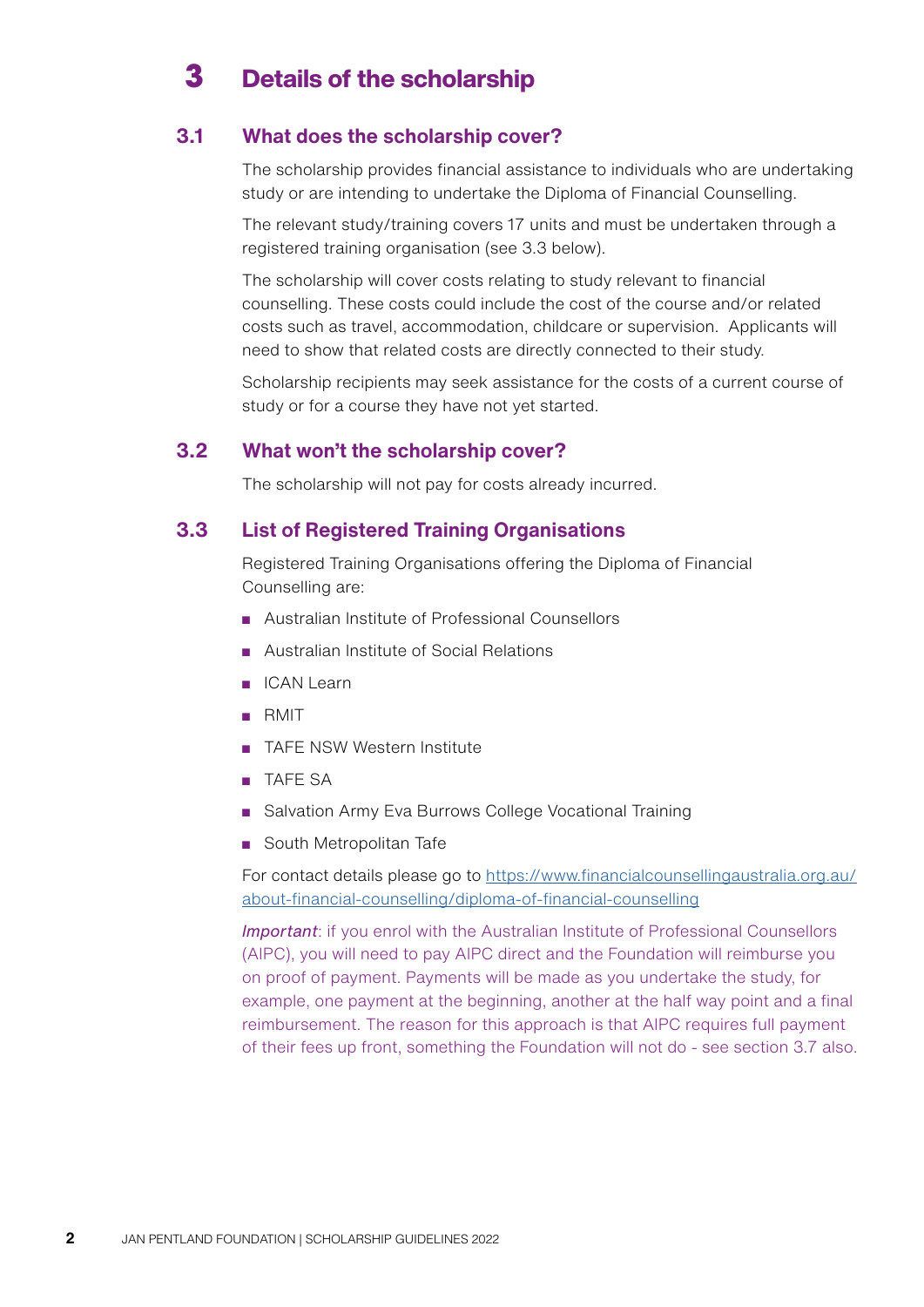### <span id="page-3-0"></span>**3** Details of the scholarship

#### **3.1 What does the scholarship cover?**

The scholarship provides financial assistance to individuals who are undertaking study or are intending to undertake the Diploma of Financial Counselling.

The relevant study/training covers 17 units and must be undertaken through a registered training organisation (see 3.3 below).

The scholarship will cover costs relating to study relevant to financial counselling. These costs could include the cost of the course and/or related costs such as travel, accommodation, childcare or supervision. Applicants will need to show that related costs are directly connected to their study.

Scholarship recipients may seek assistance for the costs of a current course of study or for a course they have not yet started.

#### **3.2 What won't the scholarship cover?**

The scholarship will not pay for costs already incurred.

#### **3.3 List of Registered Training Organisations**

Registered Training Organisations offering the Diploma of Financial Counselling are:

- Australian Institute of Professional Counsellors
- Australian Institute of Social Relations
- ICAN Learn
- RMIT
- TAFE NSW Western Institute
- TAFE SA
- Salvation Army Eva Burrows College Vocational Training
- South Metropolitan Tafe

For contact details please go to [https://www.financialcounsellingaustralia.org.au/](https://www.financialcounsellingaustralia.org.au/about-financial-counselling/diploma-of-financial-counselling) [about-financial-counselling/diploma-of-financial-counselling](https://www.financialcounsellingaustralia.org.au/about-financial-counselling/diploma-of-financial-counselling)

*Important*: if you enrol with the Australian Institute of Professional Counsellors (AIPC), you will need to pay AIPC direct and the Foundation will reimburse you on proof of payment. Payments will be made as you undertake the study, for example, one payment at the beginning, another at the half way point and a final reimbursement. The reason for this approach is that AIPC requires full payment of their fees up front, something the Foundation will not do - see section 3.7 also.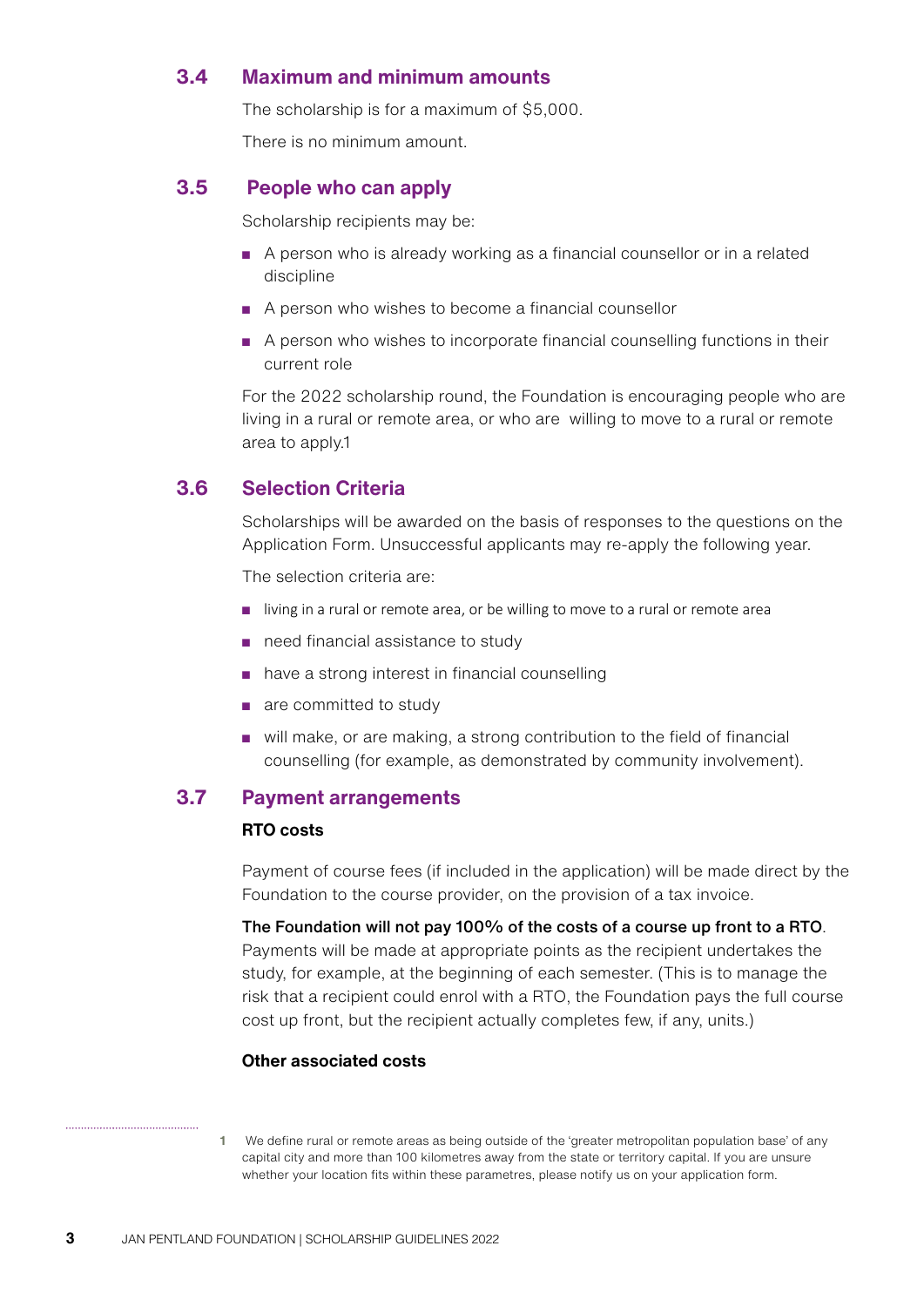#### <span id="page-4-0"></span>**3.4 Maximum and minimum amounts**

The scholarship is for a maximum of \$5,000.

There is no minimum amount.

#### **3.5 People who can apply**

Scholarship recipients may be:

- A person who is already working as a financial counsellor or in a related discipline
- A person who wishes to become a financial counsellor
- A person who wishes to incorporate financial counselling functions in their current role

For the 2022 scholarship round, the Foundation is encouraging people who are living in a rural or remote area, or who are willing to move to a rural or remote area to apply.1

#### **3.6 Selection Criteria**

Scholarships will be awarded on the basis of responses to the questions on the Application Form. Unsuccessful applicants may re-apply the following year.

The selection criteria are:

- living in a rural or remote area, or be willing to move to a rural or remote area
- need financial assistance to study
- have a strong interest in financial counselling
- are committed to study
- will make, or are making, a strong contribution to the field of financial counselling (for example, as demonstrated by community involvement).

#### **3.7 Payment arrangements**

#### **RTO costs**

Payment of course fees (if included in the application) will be made direct by the Foundation to the course provider, on the provision of a tax invoice.

The Foundation will not pay 100% of the costs of a course up front to a RTO. Payments will be made at appropriate points as the recipient undertakes the study, for example, at the beginning of each semester. (This is to manage the risk that a recipient could enrol with a RTO, the Foundation pays the full course cost up front, but the recipient actually completes few, if any, units.)

#### **Other associated costs**

**1** We define rural or remote areas as being outside of the 'greater metropolitan population base' of any capital city and more than 100 kilometres away from the state or territory capital. If you are unsure whether your location fits within these parametres, please notify us on your application form.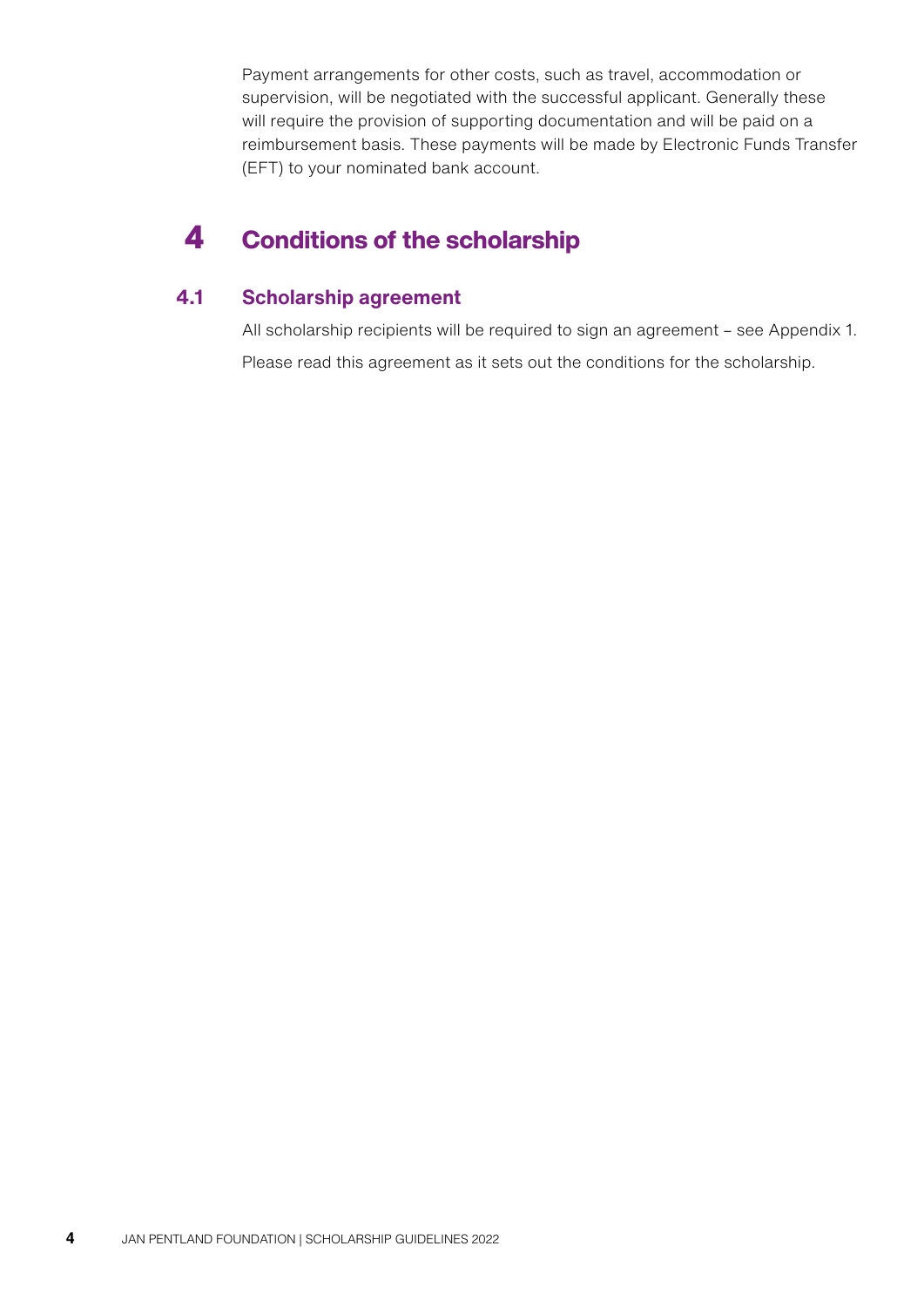<span id="page-5-0"></span>Payment arrangements for other costs, such as travel, accommodation or supervision, will be negotiated with the successful applicant. Generally these will require the provision of supporting documentation and will be paid on a reimbursement basis. These payments will be made by Electronic Funds Transfer (EFT) to your nominated bank account.

## **4** Conditions of the scholarship

#### **4.1 Scholarship agreement**

All scholarship recipients will be required to sign an agreement – see Appendix 1. Please read this agreement as it sets out the conditions for the scholarship.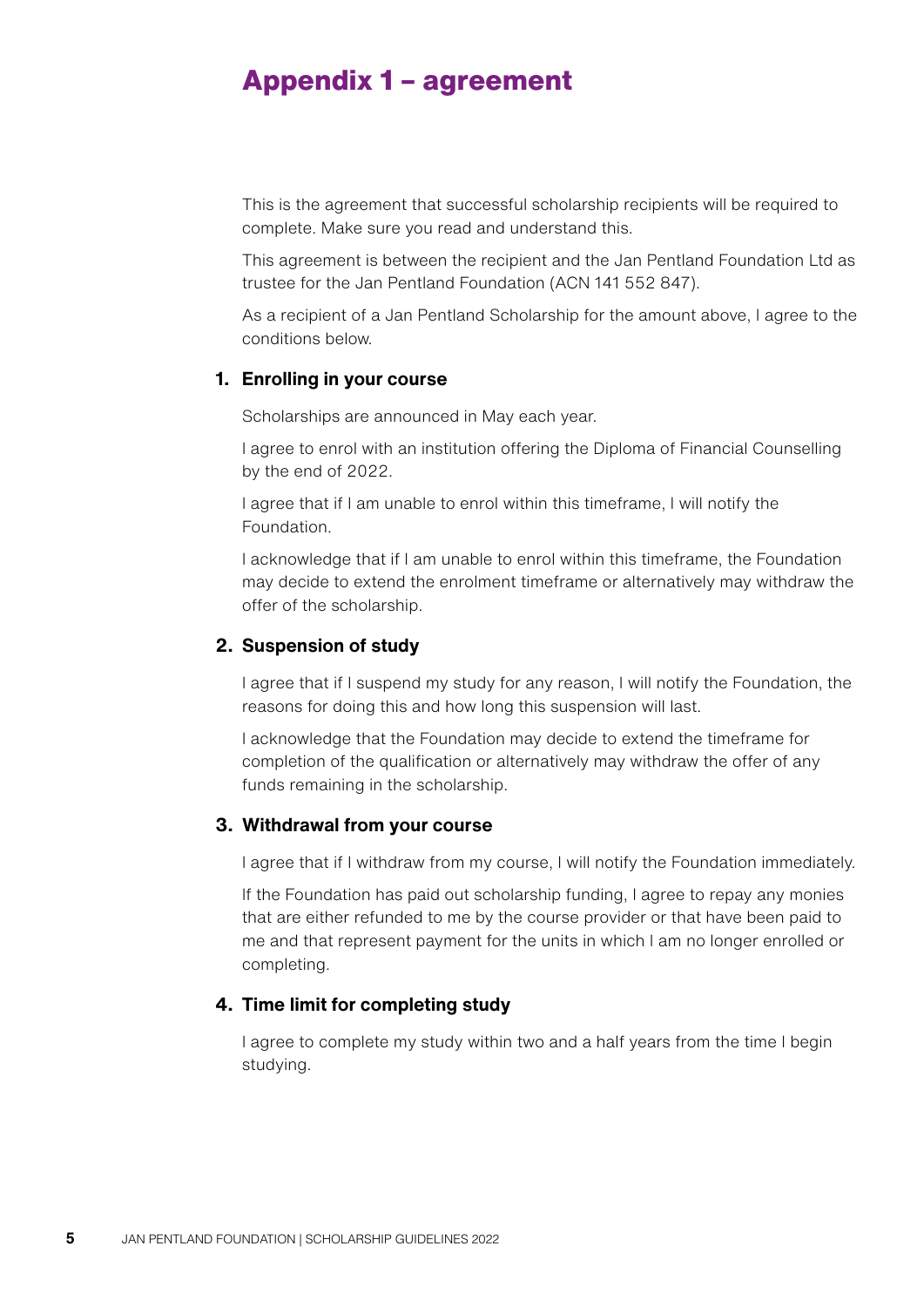## <span id="page-6-0"></span>**Appendix 1 – agreement**

This is the agreement that successful scholarship recipients will be required to complete. Make sure you read and understand this.

This agreement is between the recipient and the Jan Pentland Foundation Ltd as trustee for the Jan Pentland Foundation (ACN 141 552 847).

As a recipient of a Jan Pentland Scholarship for the amount above, I agree to the conditions below.

#### **1. Enrolling in your course**

Scholarships are announced in May each year.

I agree to enrol with an institution offering the Diploma of Financial Counselling by the end of 2022.

I agree that if I am unable to enrol within this timeframe, I will notify the Foundation.

I acknowledge that if I am unable to enrol within this timeframe, the Foundation may decide to extend the enrolment timeframe or alternatively may withdraw the offer of the scholarship.

#### **2. Suspension of study**

I agree that if I suspend my study for any reason, I will notify the Foundation, the reasons for doing this and how long this suspension will last.

I acknowledge that the Foundation may decide to extend the timeframe for completion of the qualification or alternatively may withdraw the offer of any funds remaining in the scholarship.

#### **3. Withdrawal from your course**

I agree that if I withdraw from my course, I will notify the Foundation immediately.

If the Foundation has paid out scholarship funding, I agree to repay any monies that are either refunded to me by the course provider or that have been paid to me and that represent payment for the units in which I am no longer enrolled or completing.

#### **4. Time limit for completing study**

I agree to complete my study within two and a half years from the time I begin studying.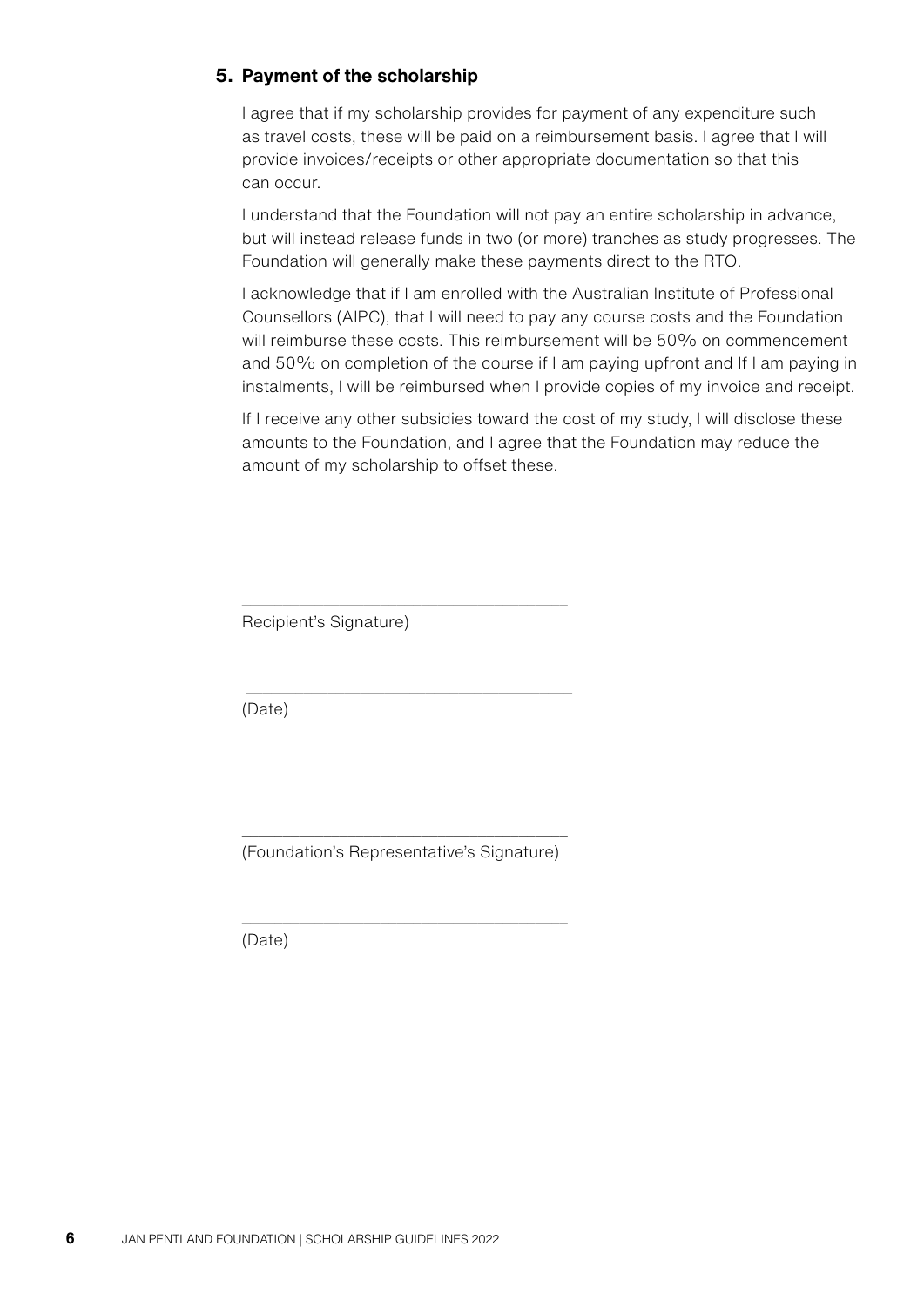#### **5. Payment of the scholarship**

I agree that if my scholarship provides for payment of any expenditure such as travel costs, these will be paid on a reimbursement basis. I agree that I will provide invoices/receipts or other appropriate documentation so that this can occur.

I understand that the Foundation will not pay an entire scholarship in advance, but will instead release funds in two (or more) tranches as study progresses. The Foundation will generally make these payments direct to the RTO.

I acknowledge that if I am enrolled with the Australian Institute of Professional Counsellors (AIPC), that I will need to pay any course costs and the Foundation will reimburse these costs. This reimbursement will be 50% on commencement and 50% on completion of the course if I am paying upfront and If I am paying in instalments, I will be reimbursed when I provide copies of my invoice and receipt.

If I receive any other subsidies toward the cost of my study, I will disclose these amounts to the Foundation, and I agree that the Foundation may reduce the amount of my scholarship to offset these.

Recipient's Signature)

(Date)

\_\_\_\_\_\_\_\_\_\_\_\_\_\_\_\_\_\_\_\_\_\_\_\_\_\_\_\_\_\_\_\_\_\_\_\_\_\_\_\_ (Foundation's Representative's Signature)

\_\_\_\_\_\_\_\_\_\_\_\_\_\_\_\_\_\_\_\_\_\_\_\_\_\_\_\_\_\_\_\_\_\_\_\_\_\_\_\_

\_\_\_\_\_\_\_\_\_\_\_\_\_\_\_\_\_\_\_\_\_\_\_\_\_\_\_\_\_\_\_\_\_\_\_\_\_\_\_\_

\_\_\_\_\_\_\_\_\_\_\_\_\_\_\_\_\_\_\_\_\_\_\_\_\_\_\_\_\_\_\_\_\_\_\_\_\_\_\_\_

(Date)